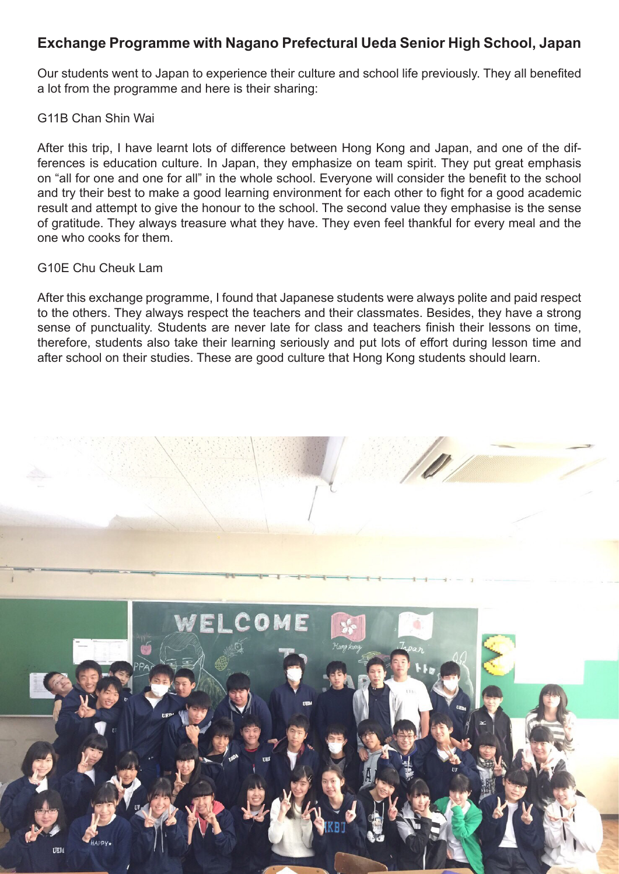## **Exchange Programme with Nagano Prefectural Ueda Senior High School, Japan**

Our students went to Japan to experience their culture and school life previously. They all benefited a lot from the programme and here is their sharing:

## G11B Chan Shin Wai

After this trip, I have learnt lots of difference between Hong Kong and Japan, and one of the differences is education culture. In Japan, they emphasize on team spirit. They put great emphasis on "all for one and one for all" in the whole school. Everyone will consider the benefit to the school and try their best to make a good learning environment for each other to fight for a good academic result and attempt to give the honour to the school. The second value they emphasise is the sense of gratitude. They always treasure what they have. They even feel thankful for every meal and the one who cooks for them.

## G10E Chu Cheuk Lam

After this exchange programme, I found that Japanese students were always polite and paid respect to the others. They always respect the teachers and their classmates. Besides, they have a strong sense of punctuality. Students are never late for class and teachers finish their lessons on time, therefore, students also take their learning seriously and put lots of effort during lesson time and after school on their studies. These are good culture that Hong Kong students should learn.